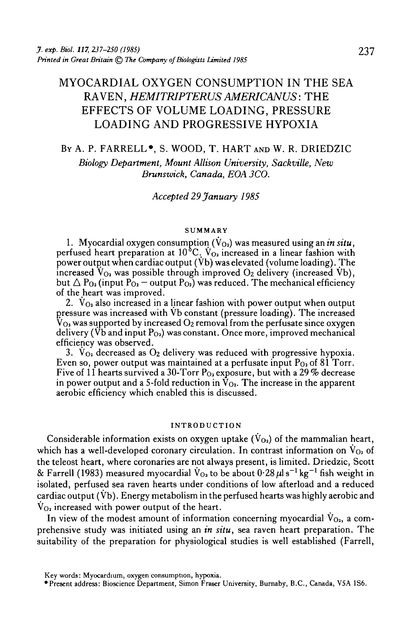# MYOCARDIAL OXYGEN CONSUMPTION IN THE SEA RAVEN, *HEMITRIPTERUS AMERICANUS:* THE EFFECTS OF VOLUME LOADING, PRESSURE LOADING AND PROGRESSIVE HYPOXIA

# BY A. P. FARRELL\*, S. WOOD, T. HART AND W. R. DRIEDZIC *Biology Department, Mount Allison University, Sackville, New Brunswick, Canada, EOA 3CO.*

# *Accepted 29 January 1985*

#### **SUMMARY**

1. Myocardial oxygen consumption (V $_{\rm O_2}$ ) was measured using an  $\dot{\bm{m}}$  sit $\bm{u},$ perfused heart preparation at 10 °C.  $\rm V_{O_2}$  increased in a linear fashion with power output when cardiac output (Vb) was elevated (volume loading). The increased  $V_{O_2}$  was possible through improved  $O_2$  delivery (increased Vb), but  $\Delta P_{\text{O}_2}$  (input P<sub>O<sub>2</sub></sub> — output P<sub>O<sub>2</sub>) was reduced. The mechanical efficiency</sub> of the heart was improved.

2.  $V_{Q_2}$  also increased in a linear fashion with power output when output pressure was increased with Vb constant (pressure loading). The increased  $V_{\text{O}_2}$  was supported by increased  $\text{O}_2$  removal from the perfusate since oxygen delivery ( $\overrightarrow{Vb}$  and input  $P_{O<sub>2</sub>}$ ) was constant. Once more, improved mechanical efficiency was observed.<br>3.  $\dot{V}_{O_2}$  decreased as  $O_2$  delivery was reduced with progressive hypoxia.

Even so, power output was maintained at a perfusate input P<sub>O2</sub> of 81 Torr. Five of 11 hearts survived a 30-Torr P<sub>O2</sub> exposure, but with a 29 % decrease in power output and a 5-fold reduction in  $\tilde{V}_{Q_2}$ . The increase in the apparent aerobic efficiency which enabled this is discussed.

#### INTRODUCTION

Considerable information exists on oxygen uptake  $(\dot{V}_{O_2})$  of the mammalian heart, which has a well-developed coronary circulation. In contrast information on  $V_{Q_2}$  of the teleost heart, where coronaries are not always present, is limited. Driedzic, Scott & Farrell (1983) measured myocardial  $\rm \dot{V}_{O_2}$  to be about  $0.28\,\rm \mu l\,s^{-1}\,kg^{-1}$  fish weight in isolated, perfused sea raven hearts under conditions of low afterload and a reduced cardiac output ( $\dot{V}b$ ). Energy metabolism in the perfused hearts was highly aerobic and  $V_{Q_2}$  increased with power output of the heart.

In view of the modest amount of information concerning myocardial  $V_{0a}$ , a comprehensive study was initiated using an *in situ,* sea raven heart preparation. The suitability of the preparation for physiological studies is well established (Farrell,

Key words: Myocardium, oxygen consumption, hypoxia.

<sup>•</sup>Present address: Bioscience Department, Simon Fraser University, Burnaby, B.C., Canada, VSA 1S6.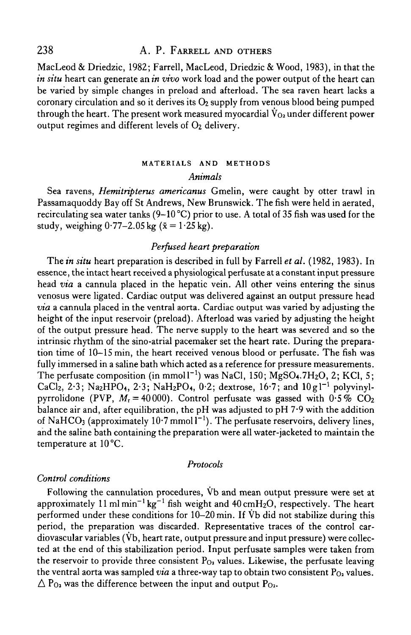MacLeod & Driedzic, 1982; Farrell, MacLeod, Driedzic & Wood, 1983), in that the *in situ* heart can generate an *in vivo* work load and the power output of the heart can be varied by simple changes in preload and afterload. The sea raven heart lacks a coronary circulation and so it derives its  $O<sub>2</sub>$  supply from venous blood being pumped through the heart. The present work measured myocardial  $\dot{V}_{Q_2}$  under different power output regimes and different levels of  $O<sub>2</sub>$  delivery.

# MATERIALS AND METHODS *Animals*

Sea ravens, *Hemitripterus americanus* Gmelin, were caught by otter trawl in Passamaquoddy Bay off St Andrews, New Brunswick. The fish were held in aerated, recirculating sea water tanks (9–10 °C) prior to use. A total of 35 fish was used for the study, weighing  $0.77-2.05$  kg  $(\bar{x} = 1.25$  kg).

# *Perfused heart preparation*

The *in situ* heart preparation is described in full by Farrell *et al.* (1982, 1983). In essence, the intact heart received a physiological perfusate at a constant input pressure head *via* a cannula placed in the hepatic vein. All other veins entering the sinus venosus were ligated. Cardiac output was delivered against an output pressure head *via* a cannula placed in the ventral aorta. Cardiac output was varied by adjusting the height of the input reservoir (preload). Afterload was varied by adjusting the height of the output pressure head. The nerve supply to the heart was severed and so the intrinsic rhythm of the sino-atrial pacemaker set the heart rate. During the preparation time of 10-15 min, the heart received venous blood or perfusate. The fish was fully immersed in a saline bath which acted as a reference for pressure measurements. The perfusate composition (in mmol  $I^{-1}$ ) was NaCl, 150; MgSO4.7H2O, 2; KCl, 5; CaCl2, 2.3; Na2HPO4, 2.3; NaH2PO4, 0.2; dextrose, 16.7; and  $10g1^{-1}$  polyvinylpyrrolidone (PVP,  $M_r = 40000$ ). Control perfusate was gassed with  $0.5\%$  CO<sub>2</sub> balance air and, after equilibration, the pH was adjusted to pH 7-9 with the addition of NaHCO<sub>3</sub> (approximately 10.7 mmoll<sup> $-1$ </sup>). The perfusate reservoirs, delivery lines, and the saline bath containing the preparation were all water-jacketed to maintain the temperature at 10°C.

### *Protocols*

### *Control conditions*

Following the cannulation procedures, Vb and mean output pressure were set at approximately 11 ml min<sup>-1</sup> kg<sup>-1</sup> fish weight and 40 cmH<sub>2</sub>O, respectively. The heart performed under these conditions for 10-20 min. If Vb did not stabilize during this period, the preparation was discarded. Representative traces of the control cardiovascular variables (Vb, heart rate, output pressure and input pressure) were collected at the end of this stabilization period. Input perfusate samples were taken from the reservoir to provide three consistent  $P_{0<sub>2</sub>}$  values. Likewise, the perfusate leaving the ventral aorta was sampled *via* a three-way tap to obtain two consistent  $P_{0}$  values.  $\Delta P_{Q_2}$  was the difference between the input and output  $P_{Q_2}$ .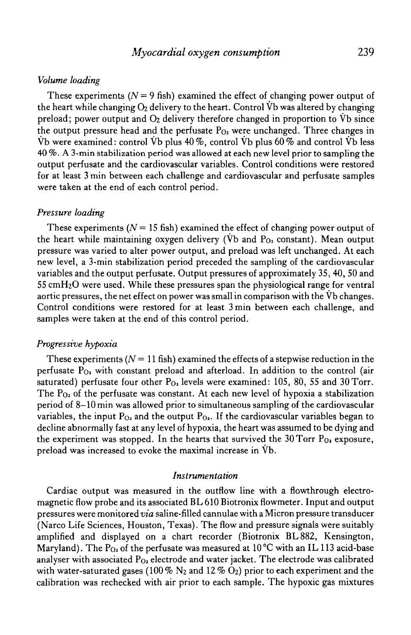# *Myocardial oxygen consumption* 239

#### *Volume loading*

These experiments  $(N = 9$  fish) examined the effect of changing power output of the heart while changing  $O_2$  delivery to the heart. Control  $\dot{V}$ b was altered by changing preload; power output and  $O_2$  delivery therefore changed in proportion to  $\dot{V}$  since the output pressure head and the perfusate  $P_{Q_2}$  were unchanged. Three changes in Vb were examined: control Vb plus 40%, control Vb plus 60% and control Vb less 40 %. A 3-min stabilization period was allowed at each new level prior to sampling the output perfusate and the cardiovascular variables. Control conditions were restored for at least 3 min between each challenge and cardiovascular and perfusate samples were taken at the end of each control period.

#### *Pressure loading*

These experiments  $(N = 15$  fish) examined the effect of changing power output of the heart while maintaining oxygen delivery (Vb and  $P_{0<sub>2</sub>}$  constant). Mean output pressure was varied to alter power output, and preload was left unchanged. At each new level, a 3-min stabilization period preceded the sampling of the cardiovascular variables and the output perfusate. Output pressures of approximately 35, 40, 50 and  $55 \text{ cm}H_2O$  were used. While these pressures span the physiological range for ventral aortic pressures, the net effect on power was small in comparison with the Vb changes. Control conditions were restored for at least 3 min between each challenge, and samples were taken at the end of this control period.

#### *Progressive hypoxia*

These experiments  $(N = 11$  fish) examined the effects of a stepwise reduction in the perfusate  $P_{Q_2}$  with constant preload and afterload. In addition to the control (air saturated) perfusate four other  $P_{O_2}$  levels were examined: 105, 80, 55 and 30 Torr. The  $P_{0a}$  of the perfusate was constant. At each new level of hypoxia a stabilization period of 8-10 min was allowed prior to simultaneous sampling of the cardiovascular variables, the input  $P_{Q_2}$  and the output  $P_{Q_2}$ . If the cardiovascular variables began to decline abnormally fast at any level of hypoxia, the heart was assumed to be dying and the experiment was stopped. In the hearts that survived the 30 Torr  $P_{0a}$  exposure, preload was increased to evoke the maximal increase in Vb.

#### *Instrumentation*

Cardiac output was measured in the outflow line with a flowthrough electromagnetic flow probe and its associated BL 610 Biotronix flowmeter. Input and output pressures were monitored *via* saline-filled cannulae with a Micron pressure transducer (Narco Life Sciences, Houston, Texas). The flow and pressure signals were suitably amplified and displayed on a chart recorder (Biotronix BL882, Kensington, Maryland). The P<sub>O2</sub> of the perfusate was measured at 10 °C with an IL 113 acid-base analyser with associated  $P_{O_2}$  electrode and water jacket. The electrode was calibrated with water-saturated gases (100  $\%$  N<sub>2</sub> and 12  $\%$  O<sub>2</sub>) prior to each experiment and the calibration was rechecked with air prior to each sample. The hypoxic gas mixtures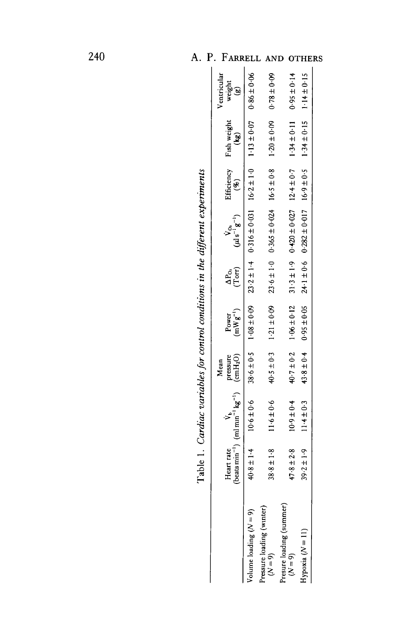|                        | Table 1. Cardiac variables for control conditions in the different experiments                                        |                |                                |                                       |                                                                                |                                                                |                              |
|------------------------|-----------------------------------------------------------------------------------------------------------------------|----------------|--------------------------------|---------------------------------------|--------------------------------------------------------------------------------|----------------------------------------------------------------|------------------------------|
|                        | Heart rate $V_b$ pressure<br>(beats min <sup>-1</sup> ) (ml min <sup>-1</sup> kg <sup>-1</sup> ) (cmH <sub>2</sub> O) | Mean           | $(mWg^{-1})$<br>Power          | $\frac{\Delta P_{\rm{O}}}{\rm(Torr)}$ | $\frac{V_{O_2}}{(\mu l \, s^{-1} g^{-1})}$                                     | Efficiency Fish weight<br>(%) (kg)<br>$\mathbf{f}(\mathbf{g})$ | Ventricular<br>weight<br>(g) |
| $\frac{4}{1}$<br>40.8± | $10.6 \pm 0.6$                                                                                                        |                | $38.6 \pm 0.5$ 1.08 $\pm 0.00$ |                                       | $23.2 \pm 1.4$ 0.316 $\pm$ 0.14 16.2 $\pm$ 1.0 1.13 $\pm$ 0.07 0.86 $\pm$ 0.06 |                                                                |                              |
| $38.8 \pm 1.8$         | $11.6 \pm 0.6$                                                                                                        | $40.5 \pm 0.3$ | $1.21 \pm 0.09$                |                                       | $23.6 \pm 1.0$ 0.365 $\pm 0.024$ 16.5 $\pm 0.8$                                | $1.20 \pm 0.09$                                                | $0.0 + 8 - 0.09$             |
| $47.8 \pm 2.8$         | $10.9 \pm 0.4$                                                                                                        |                | $40.7 \pm 0.2$ $1.06 \pm 0.12$ |                                       | $31.3 \pm 1.9$ 0.420 ± 0.027 12.4 ± 0.7                                        | $1.34 \pm 0.11$                                                | $0.95 \pm 0.14$              |
| $39.2 \pm 1.9$         | $11.4 \pm 0.3$                                                                                                        | $43.8 \pm 0.4$ | $0.95 \pm 0.05$                |                                       | $24.1 \pm 0.6$ $0.282 \pm 0.017$ $16.9 \pm 0.5$                                | $1.34 \pm 0.15$ $1.14 \pm 0.15$                                |                              |
|                        |                                                                                                                       |                |                                |                                       |                                                                                |                                                                |                              |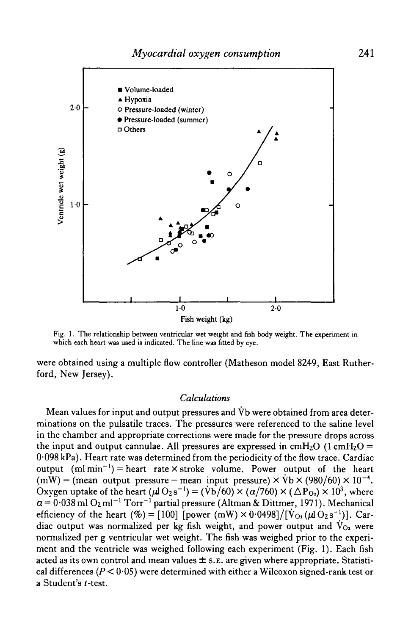

Fig. 1. The relationship between ventricular wet weight and fish body weight. The experiment in which each heart was used is indicated. The line was fitted by eye.

were obtained using a multiple flow controller (Matheson model 8249, East Rutherford, New Jersey).

#### *Calculations*

Mean values for input and output pressures and  $\dot{V}$  were obtained from area determinations on the pulsatile traces. The pressures were referenced to the saline level in the chamber and appropriate corrections were made for the pressure drops across the input and output cannulae. All pressures are expressed in  $cmH<sub>2</sub>O$  (1  $cmH<sub>2</sub>O =$ 0-098 kPa). Heart rate was determined from the periodicity of the flow trace. Cardiac output  $(ml min<sup>-1</sup>)$  = heart rate  $\times$  stroke volume. Power output of the heart  $(mW) = (mean output pressure - mean input pressure) \times \text{Vb} \times (980/60) \times 10^{-4}$ . Oxygen uptake of the heart ( $\mu$ l O $_2$ s $^{-1})$  = (Vb/60)  $\times$  ( $\alpha/7$ 60)  $\times$  ( $\Delta$ P $_{\rm O_2})$   $\times$  10 $^3$ , where  $\alpha$  =  $0.038$  ml  $\rm O_2$  ml $^{-1}$   $\rm Torr^{-1}$  partial pressure (Altman & Dittmer, 1971). Mechanical efficiency of the heart (%) = [100] [power (mW)  $\times$  0·0498]/[ $\dot{V}_{O_2}(\mu I O_2 s^{-1})$ ]. Cardiac output was normalized per kg fish weight, and power output and  $\dot{V}_{0}$  were normalized per g ventricular wet weight. The fish was weighed prior to the experiment and the ventricle was weighed following each experiment (Fig. 1). Each fish acted as its own control and mean values  $\pm$  s. E. are given where appropriate. Statistical differences *(P <* 0-05) were determined with either a Wilcoxon signed-rank test or a Student's t-test.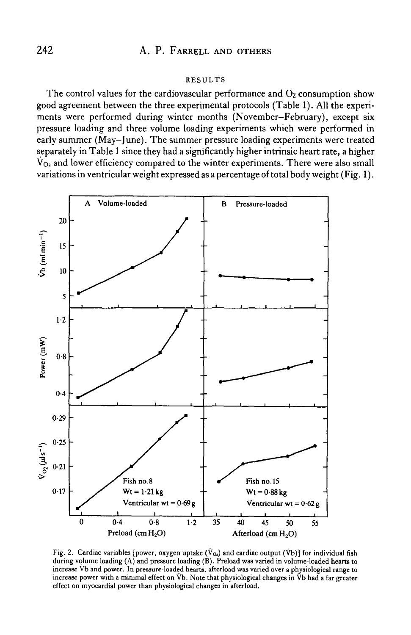#### RESULTS

The control values for the cardiovascular performance and  $O<sub>2</sub>$  consumption show good agreement between the three experimental protocols (Table 1). All the experiments were performed during winter months (November-February), except six pressure loading and three volume loading experiments which were performed in early summer (May-June). The summer pressure loading experiments were treated separately in Table 1 since they had a significantly higher intrinsic heart rate, a higher  $V_{Q_2}$  and lower efficiency compared to the winter experiments. There were also small variations in ventricular weight expressed as a percentage of total body weight (Fig. 1).



Fig. 2. Cardiac variables [power, oxygen uptake ( $\dot{V}_{Oa}$ ) and cardiac output ( $\dot{V}b$ )] for individual fish during volume loading (A) and pressure loading (B). Preload was varied in volume-loaded hearts to increase Vb and power. In pressure-loaded hearts, afterload was varied over a physiological range to increase power with a minimal effect on Vb. Note that physiological changes in Vb had a far greater effect on myocardial power than physiological changes in afterload.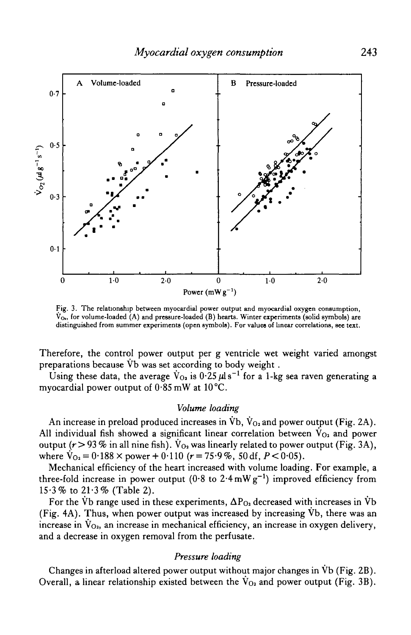

Fig. 3. The relationship between myocardial power output and myocardial oxygen consumption,  $V_{\text{O}_1}$ , for volume-loaded (A) and pressure-loaded (B) hearts. Winter experiments (solid symbols) are distinguished from summer experiments (open symbols). For values of linear correlations, see text.

Therefore, the control power output per g ventricle wet weight varied amongst preparations because Vb was set according to body weight .

Using these data, the average  $\dot{V}_{O_2}$  is  $0.25 \,\mu$ ls<sup>-1</sup> for a 1-kg sea raven generating a myocardial power output of 0-85 mW at 10°C.

#### *Volume loading*

An increase in preload produced increases in  $\overline{V}b$ ,  $\overline{V}_{Q_2}$  and power output (Fig. 2A). All individual fish showed a significant linear correlation between  $V_{O_2}$  and power output ( $r > 93$  % in all nine fish).  $V_{O_2}$  was linearly related to power output (Fig. 3A), where  $V_{Q_2} = 0.188 \times power + 0.110$  ( $r = 75.9\%$ , 50 df,  $P < 0.05$ ).

Mechanical efficiency of the heart increased with volume loading. For example, a three-fold increase in power output (0.8 to 2.4 mW  $g^{-1}$ ) improved efficiency from  $15.3\%$  to  $21.3\%$  (Table 2).

For the Vb range used in these experiments,  $\Delta P_{0}$  decreased with increases in Vb (Fig. 4A). Thus, when power output was increased by increasing Vb, there was an increase in  $V_{O_2}$ , an increase in mechanical efficiency, an increase in oxygen delivery, and a decrease in oxygen removal from the perfusate.

# *Pressure loading*

Changes in afterload altered power output without major changes in Vb (Fig. 2B). Overall, a linear relationship existed between the  $V_{O_2}$  and power output (Fig. 3B).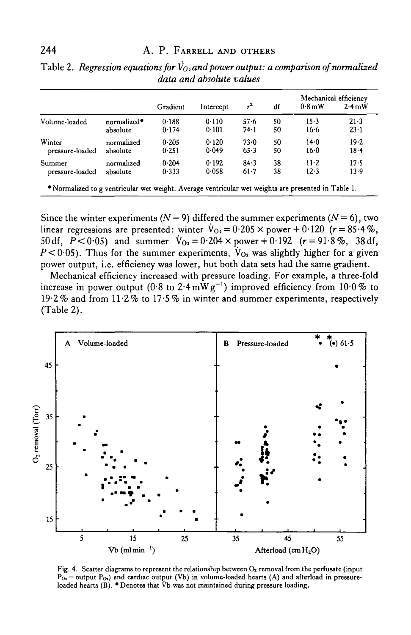|                                                                                                     |                         | Gradient | Intercept | $\mathcal{L}$ | df | $0.8 \,\mathrm{mW}$ | Mechanical efficiency<br>$2.4 \text{ mW}$ |
|-----------------------------------------------------------------------------------------------------|-------------------------|----------|-----------|---------------|----|---------------------|-------------------------------------------|
| Volume-loaded                                                                                       | normalized <sup>*</sup> | 0.188    | 0.110     | $57 - 6$      | 50 | $15-3$              | 21.3                                      |
|                                                                                                     | absolute                | 0.174    | 0.101     | 74.1          | 50 | 16.6                | $23 - 1$                                  |
| Winter                                                                                              | normalized              | 0.205    | 0.120     | $73-0$        | 50 | $14 - 0$            | 19.2                                      |
| pressure-loaded                                                                                     | absolute                | 0.251    | 0.049     | 65.3          | 50 | 16.0                | $18 - 4$                                  |
| Summer                                                                                              | normalized              | 0.204    | 0.192     | 84.3          | 38 | $11-2$              | 17.5                                      |
| pressure-loaded                                                                                     | absolute                | 0.333    | 0.058     | $61-7$        | 38 | 12.3                | $13-9$                                    |
| * Normalized to g ventricular wet weight. Average ventricular wet weights are presented in Table 1. |                         |          |           |               |    |                     |                                           |

Table 2. *Regression equations for*  $\dot{V}_{0z}$  and power output: a comparison of normalized *data and absolute values*

Since the winter experiments  $(N = 9)$  differed the summer experiments  $(N = 6)$ , two linear regressions are presented: winter  $\dot{V}_{0a} = 0.205 \times power + 0.120$  ( $r = 85.4\%$ ). 50 df,  $P < 0.05$ ) and summer  $V_{Q_2} = 0.204 \times power + 0.192$  ( $r = 91.8\%$ , 38 df,  $P < 0.05$ ). Thus for the summer experiments,  $V_{Q_2}$  was slightly higher for a given power output, i.e. efficiency was lower, but both data sets had the same gradient.

Mechanical efficiency increased with pressure loading. For example, a three-fold increase in power output (0.8 to 2.4  $\text{mW}\,\text{g}^{-1}$ ) improved efficiency from  $10{\cdot}0\,\%$  to (Table 2).



Fig. 4. Scatter diagrams to represent the relationship between  $O_2$  removal from the perfusate (input  $P_{0}$  – output  $P_{0}$ ) and cardiac output (Vb) in volume-loaded hearts (A) and afterload in pressureloaded hearts  $(B)$ .  $\bullet$  Denotes that  $\overline{V}$ b was not maintained during pressure loading.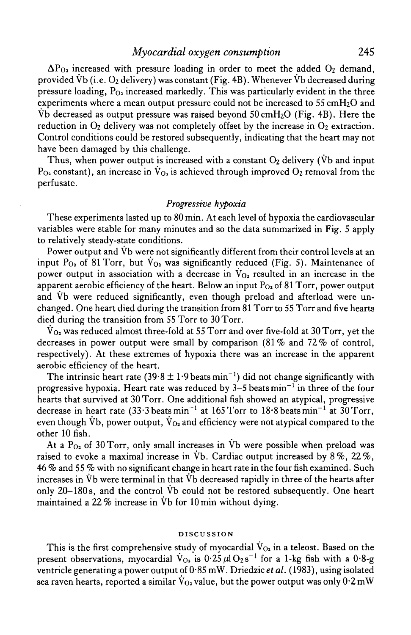# *Myocardial oxygen consumption* 245

 $\Delta P_{O_2}$  increased with pressure loading in order to meet the added  $O_2$  demand, provided Vb (i.e.  $O_2$  delivery) was constant (Fig. 4B). Whenever Vb decreased during pressure loading,  $P_{Q_2}$  increased markedly. This was particularly evident in the three experiments where a mean output pressure could not be increased to  $55 \text{ cm}H_2O$  and Vb decreased as output pressure was raised beyond  $50 \text{ cm}H_2O$  (Fig. 4B). Here the reduction in  $O_2$  delivery was not completely offset by the increase in  $O_2$  extraction. Control conditions could be restored subsequently, indicating that the heart may not have been damaged by this challenge.

Thus, when power output is increased with a constant  $O_2$  delivery (Vb and input  $P_{Q_2}$  constant), an increase in  $\dot{V}_{Q_2}$  is achieved through improved  $Q_2$  removal from the perfusate.

#### *Progressive hypoxia*

These experiments lasted up to 80 min. At each level of hypoxia the cardiovascular variables were stable for many minutes and so the data summarized in Fig. 5 apply to relatively steady-state conditions.

Power output and Vb were not significantly different from their control levels at an input P<sub>02</sub> of 81 Torr, but  $V_{02}$  was significantly reduced (Fig. 5). Maintenance of power output in association with a decrease in  $V_{02}$  resulted in an increase in the apparent aerobic efficiency of the heart. Below an input  $P<sub>O2</sub>$  of 81 Torr, power output and Vb were reduced significantly, even though preload and afterload were unchanged. One heart died during the transition from 81 Torr to 55 Torr and five hearts died during the transition from 55 Torr to 30 Torr.

 $V_{\text{O}_2}$  was reduced almost three-fold at 55 Torr and over five-fold at 30 Torr, yet the decreases in power output were small by comparison  $(81\%$  and  $72\%$  of control, respectively). At these extremes of hypoxia there was an increase in the apparent aerobic efficiency of the heart.

The intrinsic heart rate (39.8  $\pm$  1.9 beats min<sup>-1</sup>) did not change significantly with progressive hypoxia. Heart rate was reduced by 3–5 beats  $\text{min}^{-1}$  in three of the four hearts that survived at 30 Torr. One additional fish showed an atypical, progressive decrease in heart rate (33.3 beats min<sup>-1</sup> at 165 Torr to 18.8 beats min<sup>-1</sup> at 30 Torr, even though Vb, power output,  $\dot{V}_{0}$  and efficiency were not atypical compared to the other 10 fish.

At a  $P_{Q_2}$  of 30 Torr, only small increases in Vb were possible when preload was raised to evoke a maximal increase in  $\dot{V}b$ . Cardiac output increased by 8%, 22%, 46 % and 55 % with no significant change in heart rate in the four fish examined. Such increases in Vb were terminal in that Vb decreased rapidly in three of the hearts after only 20-180 s, and the control Vb could not be restored subsequently. One heart maintained a 22% increase in Vb for 10 min without dying.

#### DISCUSSION

This is the first comprehensive study of myocardial  $V_{02}$  in a teleost. Based on the present observations, myocardial  $\dot{V}_{O_2}$  is  $0.25 \mu 10_2 s^{-1}$  for a 1-kg fish with a  $0.8 \text{-} g$ ventricle generating a power output of 0 • 85 mW. Driedzic *et al.* (1983), using isolated sea raven hearts, reported a similar  $\dot{V}_{Q_2}$  value, but the power output was only  $0.2 \text{ mW}$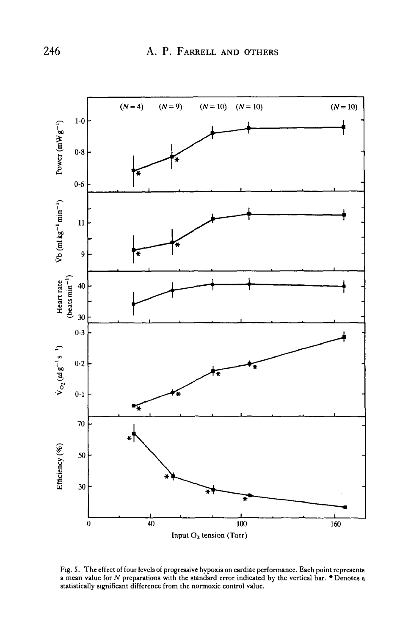

Fig. 5. The effect of four levels of progressive hypoxia on cardiac performance. Each point represents a mean value for *N* preparations with the standard error indicated by the vertical bar. • Denotes a statistically significant difference from the normoxic control value.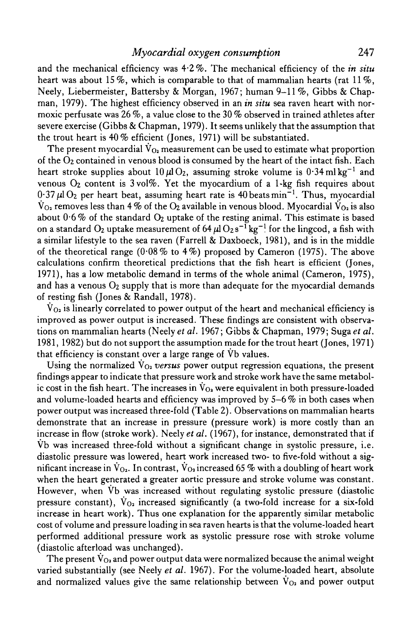# *Myocardial oxygen consumption* 247

and the mechanical efficiency was 4-2%. The mechanical efficiency of the *in situ* heart was about 15%, which is comparable to that of mammalian hearts (rat  $11\%$ , Neely, Liebermeister, Battersby & Morgan, 1967; human 9-11 %, Gibbs & Chapman, 1979). The highest efficiency observed in an *in situ* sea raven heart with normoxic perfusate was 26%, a value close to the 30% observed in trained athletes after severe exercise (Gibbs & Chapman, 1979). It seems unlikely that the assumption that the trout heart is 40% efficient (Jones, 1971) will be substantiated.

The present myocardial  $\dot{V}_{Q_2}$  measurement can be used to estimate what proportion of the O2 contained in venous blood is consumed by the heart of the intact fish. Each heart stroke supplies about  $10 \,\mu\mathrm{l}\,\mathrm{O}_2$ , assuming stroke volume is  $0.34\,\mathrm{ml\,kg^{-1}}$  and venous  $O_2$  content is  $3 \text{ vol}\%$ . Yet the myocardium of a 1-kg fish requires about  $0.37 \,\mu$ l O<sub>2</sub> per heart beat, assuming heart rate is 40 beats min<sup>-1</sup>. Thus, myocardial  $V_{\text{O}_2}$  removes less than 4% of the  $\text{O}_2$  available in venous blood. Myocardial  $V_{\text{O}_2}$  is also about  $0.6\%$  of the standard  $O_2$  uptake of the resting animal. This estimate is based on a standard  $\mathrm{O}_2$  uptake measurement of 64  $\mu\mathrm{I}\, \mathrm{O}_2\, \mathrm{s}^{-1}\, \mathrm{kg}^{-1}$  for the lingcod, a fish with a similar lifestyle to the sea raven (Farrell & Daxboeck, 1981), and is in the middle of the theoretical range (0.08% to 4%) proposed by Cameron (1975). The above calculations confirm theoretical predictions that the fish heart is efficient (Jones, 1971), has a low metabolic demand in terms of the whole animal (Cameron, 1975), and has a venous  $O_2$  supply that is more than adequate for the myocardial demands of resting fish (Jones & Randall, 1978).

 $V_{\Omega_2}$  is linearly correlated to power output of the heart and mechanical efficiency is improved as power output is increased. These findings are consistent with observations on mammalian hearts (Neely *et al.* 1967; Gibbs & Chapman, 1979; Sugaef *al.* 1981, 1982) but do not support the assumption made for the trout heart (Jones, 1971) that efficiency is constant over a large range of Vb values.

Using the normalized  $V_{Q_2}$  versus power output regression equations, the present findings appear to indicate that pressure work and stroke work have the same metabolic cost in the fish heart. The increases in  $V_{O_2}$  were equivalent in both pressure-loaded and volume-loaded hearts and efficiency was improved by 5-6 % in both cases when power output was increased three-fold (Table 2). Observations on mammalian hearts demonstrate that an increase in pressure (pressure work) is more costly than an increase in flow (stroke work). Neely *et al.* (1967), for instance, demonstrated that if Vb was increased three-fold without a significant change in systolic pressure, i.e. diastolic pressure was lowered, heart work increased two- to five-fold without a significant increase in  $\dot{V}_{01}$ . In contrast,  $\dot{V}_{02}$  increased 65 % with a doubling of heart work when the heart generated a greater aortic pressure and stroke volume was constant. However, when Vb was increased without regulating systolic pressure (diastolic pressure constant),  $V_{Q_2}$  increased significantly (a two-fold increase for a six-fold increase in heart work). Thus one explanation for the apparently similar metabolic cost of volume and pressure loading in sea raven hearts is that the volume-loaded heart performed additional pressure work as systolic pressure rose with stroke volume (diastolic afterload was unchanged).

The present  $V_{Q_2}$  and power output data were normalized because the animal weight varied substantially (see Neely *et al.* 1967). For the volume-loaded heart, absolute and normalized values give the same relationship between  $V_{Q_2}$  and power output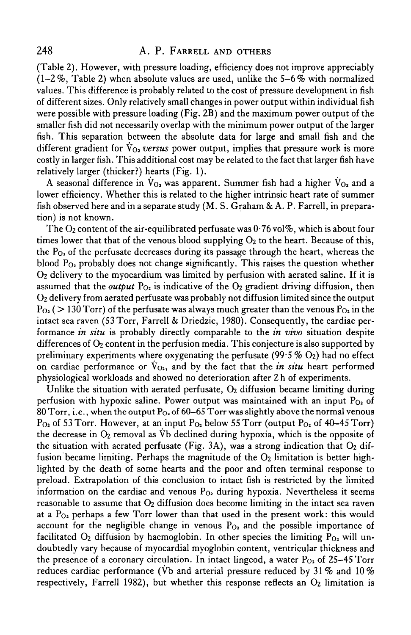(Table 2). However, with pressure loading, efficiency does not improve appreciably  $(1-2\%$ , Table 2) when absolute values are used, unlike the 5-6% with normalized values. This difference is probably related to the cost of pressure development in fish of different sizes. Only relatively small changes in power output within individual fish were possible with pressure loading (Fig. 2B) and the maximum power output of the smaller fish did not necessarily overlap with the minimum power output of the larger fish. This separation between the absolute data for large and small fish and the different gradient for  $V_{\Omega_2}$  versus power output, implies that pressure work is more costly in larger fish. This additional cost may be related to the fact that larger fish have relatively larger (thicker?) hearts (Fig. 1).

A seasonal difference in  $V_{Q_2}$  was apparent. Summer fish had a higher  $V_{Q_2}$  and a lower efficiency. Whether this is related to the higher intrinsic heart rate of summer fish observed here and in a separate study (M. S. Graham & A. P. Farrell, in preparation) is not known.

The  $O_2$  content of the air-equilibrated perfusate was  $0.76$  vol%, which is about four times lower that that of the venous blood supplying  $O_2$  to the heart. Because of this, the  $P_{Q_2}$  of the perfusate decreases during its passage through the heart, whereas the blood  $P_{0_2}$  probably does not change significantly. This raises the question whether Oz delivery to the myocardium was limited by perfusion with aerated saline. If it is assumed that the *output*  $P_{Q_2}$  is indicative of the  $Q_2$  gradient driving diffusion, then Oz delivery from aerated perfusate was probably not diffusion limited since the output  $P_{Q_2}$  ( > 130 Torr) of the perfusate was always much greater than the venous  $P_{Q_2}$  in the intact sea raven (53 Torr, Farrell & Driedzic, 1980). Consequently, the cardiac performance *in situ* is probably directly comparable to the *in vivo* situation despite differences of  $O_2$  content in the perfusion media. This conjecture is also supported by preliminary experiments where oxygenating the perfusate (99.5  $\%$  O<sub>2</sub>) had no effect on cardiac performance or  $V_{Q_2}$ , and by the fact that the *in situ* heart performed physiological workloads and showed no deterioration after 2h of experiments.

Unlike the situation with aerated perfusate,  $O<sub>2</sub>$  diffusion became limiting during perfusion with hypoxic saline. Power output was maintained with an input  $P_{O_2}$  of 80 Torr, i.e., when the output  $P_{0<sub>2</sub>}$  of 60–65 Torr was slightly above the normal venous  $P_{Q_2}$  of 53 Torr. However, at an input  $P_{Q_2}$  below 55 Torr (output  $P_{Q_2}$  of 40-45 Torr) the decrease in  $O_2$  removal as Vb declined during hypoxia, which is the opposite of the situation with aerated perfusate (Fig. 3A), was a strong indication that  $O<sub>2</sub>$  diffusion became limiting. Perhaps the magnitude of the  $O<sub>2</sub>$  limitation is better highlighted by the death of some hearts and the poor and often terminal response to preload. Extrapolation of this conclusion to intact fish is restricted by the limited information on the cardiac and venous  $P_{O_2}$  during hypoxia. Nevertheless it seems reasonable to assume that  $O<sub>2</sub>$  diffusion does become limiting in the intact sea raven at a  $P<sub>0</sub>$  perhaps a few Torr lower than that used in the present work: this would account for the negligible change in venous  $P_{O_2}$  and the possible importance of facilitated  $O_2$  diffusion by haemoglobin. In other species the limiting  $P_{O_2}$  will undoubtedly vary because of myocardial myoglobin content, ventricular thickness and the presence of a coronary circulation. In intact lingcod, a water  $P_{O_2}$  of 25-45 Torr reduces cardiac performance (Vb and arterial pressure reduced by 31% and 10% respectively, Farrell 1982), but whether this response reflects an  $O<sub>2</sub>$  limitation is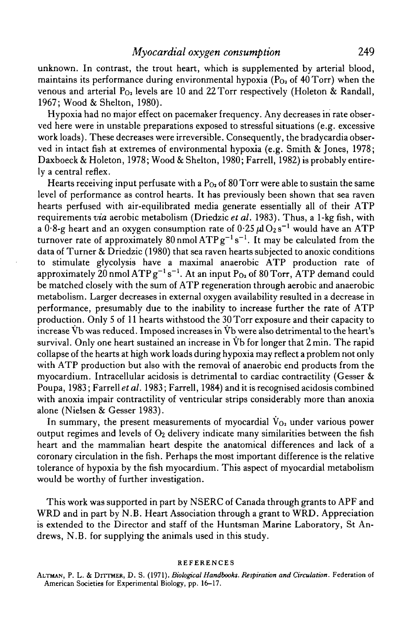unknown. In contrast, the trout heart, which is supplemented by arterial blood, maintains its performance during environmental hypoxia ( $P<sub>O<sub>2</sub></sub>$  of 40 Torr) when the venous and arterial  $P_{Q_2}$  levels are 10 and 22 Torr respectively (Holeton & Randall, 1967; Wood & Shelton, 1980).

Hypoxia had no major effect on pacemaker frequency. Any decreases in rate observed here were in unstable preparations exposed to stressful situations (e.g. excessive work loads). These decreases were irreversible. Consequently, the bradycardia observed in intact fish at extremes of environmental hypoxia (e.g. Smith & Jones, 1978; Daxboeck & Holeton, 1978; Wood & Shelton, 1980; Farrell, 1982) is probably entirely a central reflex.

Hearts receiving input perfusate with a  $P_{O<sub>2</sub>}$  of 80 Torr were able to sustain the same level of performance as control hearts. It has previously been shown that sea raven hearts perfused with air-equilibrated media generate essentially all of their ATP requirements *via* aerobic metabolism (Driedzic et al. 1983). Thus, a 1-kg fish, with a  $0.8$ -g heart and an oxygen consumption rate of  $0.25 \,\mu\text{I O}_2\,\text{s}^{-1}$  would have an ATP turnover rate of approximately 80 nmol  $ATPg^{-1}s^{-1}$ . It may be calculated from the data of Turner & Driedzic (1980) that sea raven hearts subjected to anoxic conditions to stimulate glycolysis have a maximal anaerobic ATP production rate of approximately 20 nmol  $\rm{ATP}\,g^{-1}\,s^{-1}.$  At an input  $\rm{P_{O_2}}$  of 80 Torr,  $\rm{ATP}$  demand could be matched closely with the sum of ATP regeneration through aerobic and anaerobic metabolism. Larger decreases in external oxygen availability resulted in a decrease in performance, presumably due to the inability to increase further the rate of ATP production. Only 5 of 11 hearts withstood the 30 Torr exposure and their capacity to increase Vb was reduced. Imposed increases in Vb were also detrimental to the heart's survival. Only one heart sustained an increase in Vb for longer that 2 min. The rapid collapse of the hearts at high work loads during hypoxia may reflect a problem not only with ATP production but also with the removal of anaerobic end products from the myocardium. Intracellular acidosis is detrimental to cardiac contractility (Gesser & Poupa, 1983; Farrell *et al.* 1983; Farrell, 1984) and it is recognised acidosis combined with anoxia impair contractility of ventricular strips considerably more than anoxia alone (Nielsen & Gesser 1983).

In summary, the present measurements of myocardial  $V_{O_2}$  under various power output regimes and levels of  $O_2$  delivery indicate many similarities between the fish heart and the mammalian heart despite the anatomical differences and lack of a coronary circulation in the fish. Perhaps the most important difference is the relative tolerance of hypoxia by the fish myocardium. This aspect of myocardial metabolism would be worthy of further investigation.

This work was supported in part by NSERC of Canada through grants to APF and WRD and in part by N.B. Heart Association through a grant to WRD. Appreciation is extended to the Director and staff of the Huntsman Marine Laboratory, St Andrews, N.B. for supplying the animals used in this study.

#### REFERENCES

ALTMAN, P. L. & DITTMER, D. S. (1971). *Biological Handbooks. Respiration and Circulation.* Federation of American Societies for Experimental Biology, pp. 16-17.